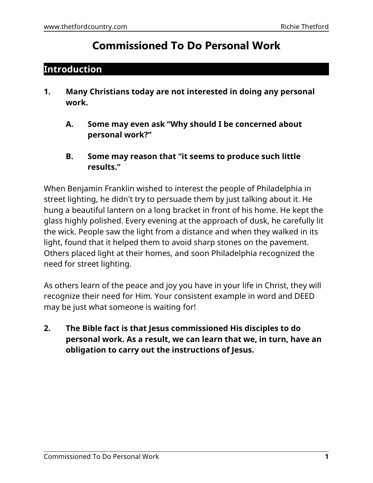# **Commissioned To Do Personal Work**

### **Introduction**

- **1. Many Christians today are not interested in doing any personal work.**
	- **A. Some may even ask "Why should I be concerned about personal work?"**
	- **B. Some may reason that "it seems to produce such little results."**

When Benjamin Franklin wished to interest the people of Philadelphia in street lighting, he didn't try to persuade them by just talking about it. He hung a beautiful lantern on a long bracket in front of his home. He kept the glass highly polished. Every evening at the approach of dusk, he carefully lit the wick. People saw the light from a distance and when they walked in its light, found that it helped them to avoid sharp stones on the pavement. Others placed light at their homes, and soon Philadelphia recognized the need for street lighting.

As others learn of the peace and joy you have in your life in Christ, they will recognize their need for Him. Your consistent example in word and DEED may be just what someone is waiting for!

**2. The Bible fact is that Jesus commissioned His disciples to do personal work. As a result, we can learn that we, in turn, have an obligation to carry out the instructions of Jesus.**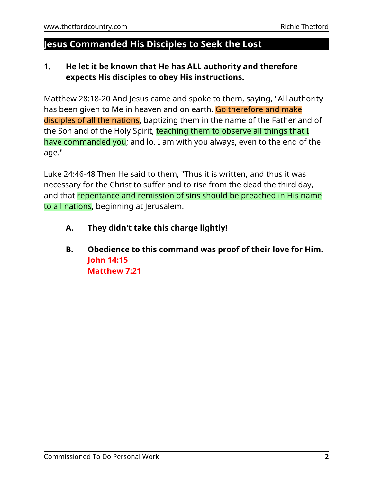# **Jesus Commanded His Disciples to Seek the Lost**

### **1. He let it be known that He has ALL authority and therefore expects His disciples to obey His instructions.**

Matthew 28:18-20 And Jesus came and spoke to them, saying, "All authority has been given to Me in heaven and on earth. Go therefore and make disciples of all the nations, baptizing them in the name of the Father and of the Son and of the Holy Spirit, teaching them to observe all things that I have commanded you; and lo, I am with you always, even to the end of the age."

Luke 24:46-48 Then He said to them, "Thus it is written, and thus it was necessary for the Christ to suffer and to rise from the dead the third day, and that repentance and remission of sins should be preached in His name to all nations, beginning at Jerusalem.

- **A. They didn't take this charge lightly!**
- **B. Obedience to this command was proof of their love for Him. John 14:15 Matthew 7:21**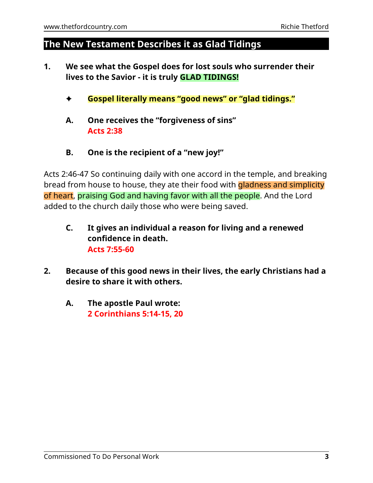## **The New Testament Describes it as Glad Tidings**

- **1. We see what the Gospel does for lost souls who surrender their lives to the Savior - it is truly GLAD TIDINGS!**
	- g **Gospel literally means "good news" or "glad tidings."**
	- **A. One receives the "forgiveness of sins" Acts 2:38**
	- **B. One is the recipient of a "new joy!"**

Acts 2:46-47 So continuing daily with one accord in the temple, and breaking bread from house to house, they ate their food with gladness and simplicity of heart, praising God and having favor with all the people. And the Lord added to the church daily those who were being saved.

- **C. It gives an individual a reason for living and a renewed confidence in death. Acts 7:55-60**
- **2. Because of this good news in their lives, the early Christians had a desire to share it with others.**
	- **A. The apostle Paul wrote: 2 Corinthians 5:14-15, 20**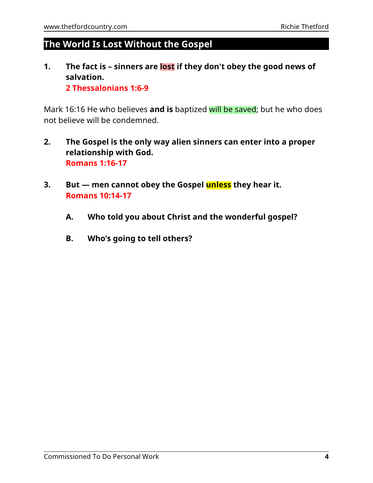# **The World Is Lost Without the Gospel**

**1. The fact is – sinners are lost if they don't obey the good news of salvation. 2 Thessalonians 1:6-9**

Mark 16:16 He who believes **and is** baptized will be saved; but he who does not believe will be condemned.

- **2. The Gospel is the only way alien sinners can enter into a proper relationship with God. Romans 1:16-17**
- **3. But men cannot obey the Gospel unless they hear it. Romans 10:14-17**
	- **A. Who told you about Christ and the wonderful gospel?**
	- **B. Who's going to tell others?**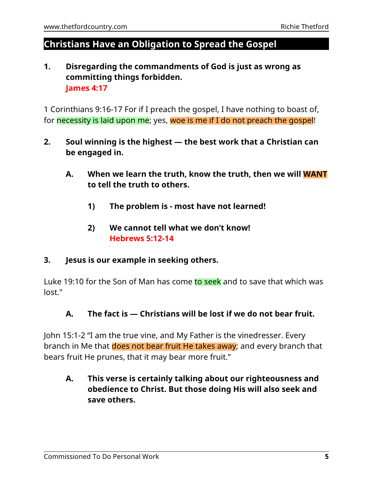## **Christians Have an Obligation to Spread the Gospel**

### **1. Disregarding the commandments of God is just as wrong as committing things forbidden. James 4:17**

1 Corinthians 9:16-17 For if I preach the gospel, I have nothing to boast of, for necessity is laid upon me; yes, woe is me if I do not preach the gospel!

- **2. Soul winning is the highest the best work that a Christian can be engaged in.**
	- **A. When we learn the truth, know the truth, then we will WANT to tell the truth to others.**
		- **1) The problem is most have not learned!**
		- **2) We cannot tell what we don't know! Hebrews 5:12-14**

#### **3. Jesus is our example in seeking others.**

Luke 19:10 for the Son of Man has come to seek and to save that which was lost."

#### **A. The fact is — Christians will be lost if we do not bear fruit.**

John 15:1-2 "I am the true vine, and My Father is the vinedresser. Every branch in Me that does not bear fruit He takes away; and every branch that bears fruit He prunes, that it may bear more fruit."

### **A. This verse is certainly talking about our righteousness and obedience to Christ. But those doing His will also seek and save others.**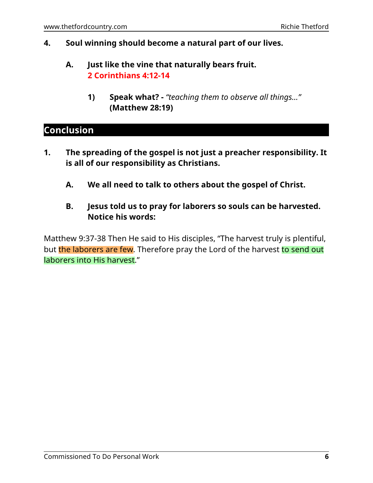#### **4. Soul winning should become a natural part of our lives.**

### **A. Just like the vine that naturally bears fruit. 2 Corinthians 4:12-14**

**1) Speak what? -** *"teaching them to observe all things..."* **(Matthew 28:19)**

# **Conclusion**

- **1. The spreading of the gospel is not just a preacher responsibility. It is all of our responsibility as Christians.**
	- **A. We all need to talk to others about the gospel of Christ.**
	- **B. Jesus told us to pray for laborers so souls can be harvested. Notice his words:**

Matthew 9:37-38 Then He said to His disciples, "The harvest truly is plentiful, but the laborers are few. Therefore pray the Lord of the harvest to send out laborers into His harvest."